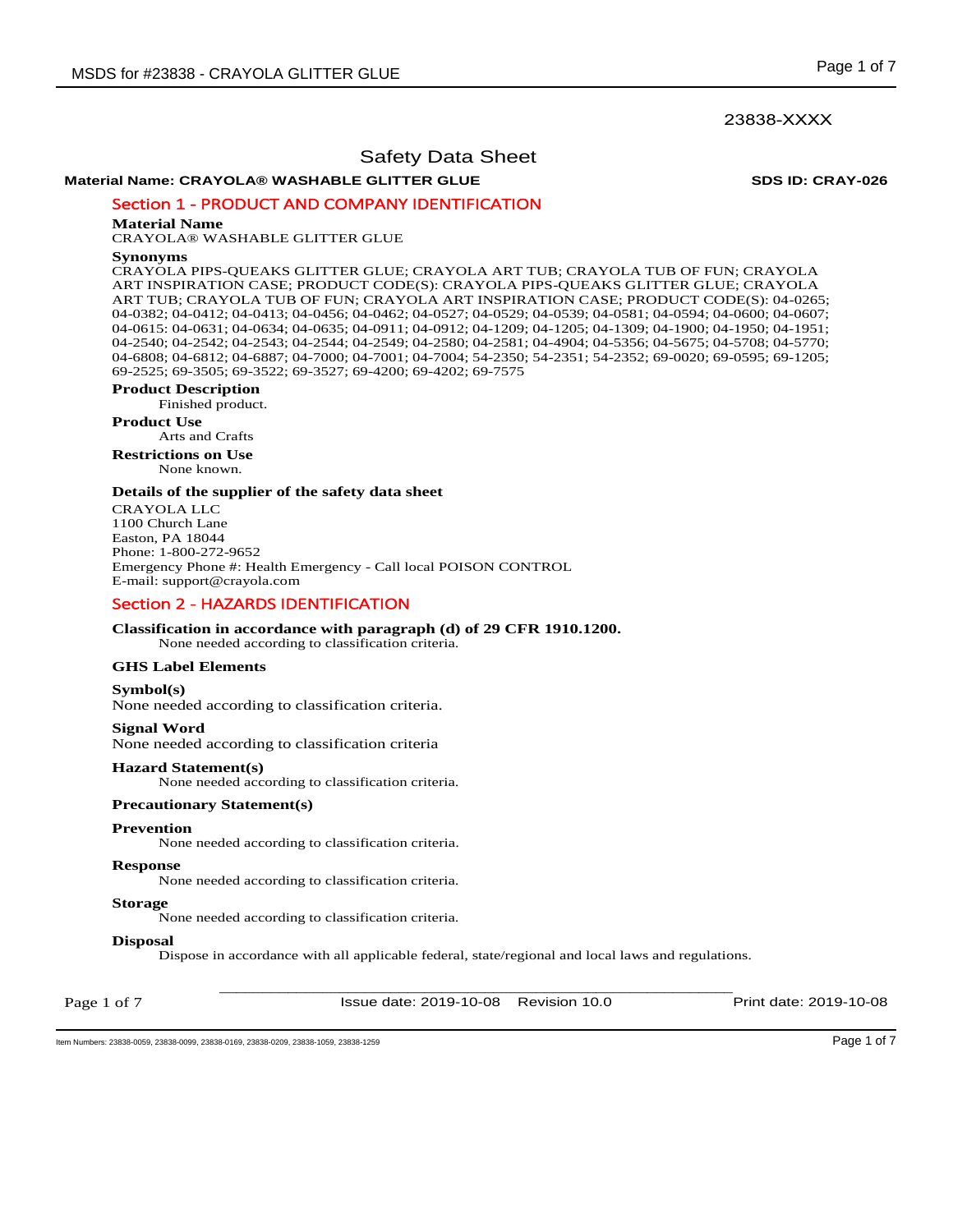**Material Name: CRAYOLA® WASHABLE GLITTER GLUE SDS ID: CRAY-026**

Section 1 - PRODUCT AND COMPANY IDENTIFICATION

### **Material Name**

CRAYOLA® WASHABLE GLITTER GLUE

#### **Synonyms**

CRAYOLA PIPS-QUEAKS GLITTER GLUE; CRAYOLA ART TUB; CRAYOLA TUB OF FUN; CRAYOLA ART INSPIRATION CASE; PRODUCT CODE(S): CRAYOLA PIPS-QUEAKS GLITTER GLUE; CRAYOLA ART TUB; CRAYOLA TUB OF FUN; CRAYOLA ART INSPIRATION CASE; PRODUCT CODE(S): 04-0265; 04-0382; 04-0412; 04-0413; 04-0456; 04-0462; 04-0527; 04-0529; 04-0539; 04-0581; 04-0594; 04-0600; 04-0607; 04-0615: 04-0631; 04-0634; 04-0635; 04-0911; 04-0912; 04-1209; 04-1205; 04-1309; 04-1900; 04-1950; 04-1951; 04-2540; 04-2542; 04-2543; 04-2544; 04-2549; 04-2580; 04-2581; 04-4904; 04-5356; 04-5675; 04-5708; 04-5770; 04-6808; 04-6812; 04-6887; 04-7000; 04-7001; 04-7004; 54-2350; 54-2351; 54-2352; 69-0020; 69-0595; 69-1205; 69-2525; 69-3505; 69-3522; 69-3527; 69-4200; 69-4202; 69-7575

## **Product Description**

Finished product.

**Product Use** Arts and Crafts

**Restrictions on Use**

None known.

## **Details of the supplier of the safety data sheet**

CRAYOLA LLC 1100 Church Lane Easton, PA 18044 Phone: 1-800-272-9652 Emergency Phone #: Health Emergency - Call local POISON CONTROL E-mail: support@crayola.com

## Section 2 - HAZARDS IDENTIFICATION

## **Classification in accordance with paragraph (d) of 29 CFR 1910.1200.**

None needed according to classification criteria.

## **GHS Label Elements**

## **Symbol(s)**

None needed according to classification criteria.

## **Signal Word**

None needed according to classification criteria

#### **Hazard Statement(s)**

None needed according to classification criteria.

## **Precautionary Statement(s)**

#### **Prevention**

None needed according to classification criteria.

## **Response**

None needed according to classification criteria.

#### **Storage**

None needed according to classification criteria.

## **Disposal**

Dispose in accordance with all applicable federal, state/regional and local laws and regulations.

Page 1 of 7

\_\_\_\_\_\_\_\_\_\_\_\_\_\_\_\_\_\_\_\_\_\_\_\_\_\_\_\_\_\_\_\_\_\_\_\_\_\_\_\_\_\_\_\_\_\_\_\_\_\_\_\_\_\_\_\_\_\_\_\_ Issue date: 2019-10-08 Revision 10.0 Print date: 2019-10-08

Item Numbers: 23838-0059, 23838-0099, 23838-0169, 23838-0209, 23838-1059, 23838-1259 Page 1 of 7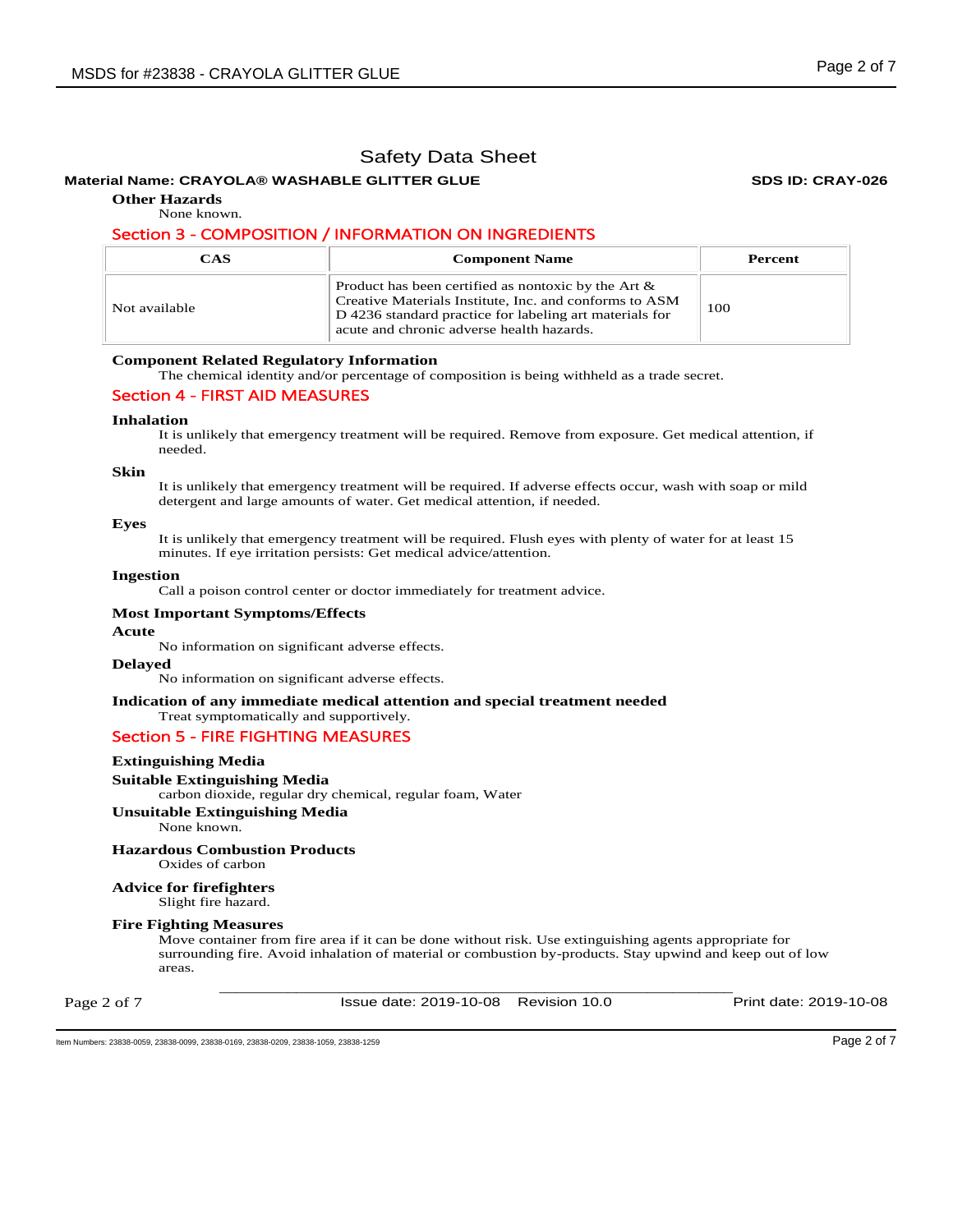## **Material Name: CRAYOLA® WASHABLE GLITTER GLUE SDS ID: CRAY-026**

**Other Hazards** 

None known.

## Section 3 - COMPOSITION / INFORMATION ON INGREDIENTS

| CAS           | <b>Component Name</b>                                                                                                                                                                                                    | Percent |
|---------------|--------------------------------------------------------------------------------------------------------------------------------------------------------------------------------------------------------------------------|---------|
| Not available | Product has been certified as nontoxic by the Art $\&$<br>Creative Materials Institute, Inc. and conforms to ASM<br>D 4236 standard practice for labeling art materials for<br>acute and chronic adverse health hazards. | 100     |

### **Component Related Regulatory Information**

The chemical identity and/or percentage of composition is being withheld as a trade secret.

## Section 4 - FIRST AID MEASURES

### **Inhalation**

It is unlikely that emergency treatment will be required. Remove from exposure. Get medical attention, if needed.

#### **Skin**

It is unlikely that emergency treatment will be required. If adverse effects occur, wash with soap or mild detergent and large amounts of water. Get medical attention, if needed.

#### **Eyes**

It is unlikely that emergency treatment will be required. Flush eyes with plenty of water for at least 15 minutes. If eye irritation persists: Get medical advice/attention.

#### **Ingestion**

Call a poison control center or doctor immediately for treatment advice.

#### **Most Important Symptoms/Effects**

#### **Acute**

No information on significant adverse effects.

#### **Delayed**

No information on significant adverse effects.

#### **Indication of any immediate medical attention and special treatment needed**

# Treat symptomatically and supportively.

# Section 5 - FIRE FIGHTING MEASURES

## **Extinguishing Media**

### **Suitable Extinguishing Media**

carbon dioxide, regular dry chemical, regular foam, Water

**Unsuitable Extinguishing Media**

None known.

## **Hazardous Combustion Products**

Oxides of carbon

#### **Advice for firefighters**  Slight fire hazard.

# **Fire Fighting Measures**

Move container from fire area if it can be done without risk. Use extinguishing agents appropriate for surrounding fire. Avoid inhalation of material or combustion by-products. Stay upwind and keep out of low areas.

Page 2 of 7

\_\_\_\_\_\_\_\_\_\_\_\_\_\_\_\_\_\_\_\_\_\_\_\_\_\_\_\_\_\_\_\_\_\_\_\_\_\_\_\_\_\_\_\_\_\_\_\_\_\_\_\_\_\_\_\_\_\_\_\_ Issue date: 2019-10-08 Revision 10.0 Print date: 2019-10-08

Item Numbers: 23838-0059, 23838-0099, 23838-0169, 23838-0209, 23838-1059, 23838-1259 Page 2 of 7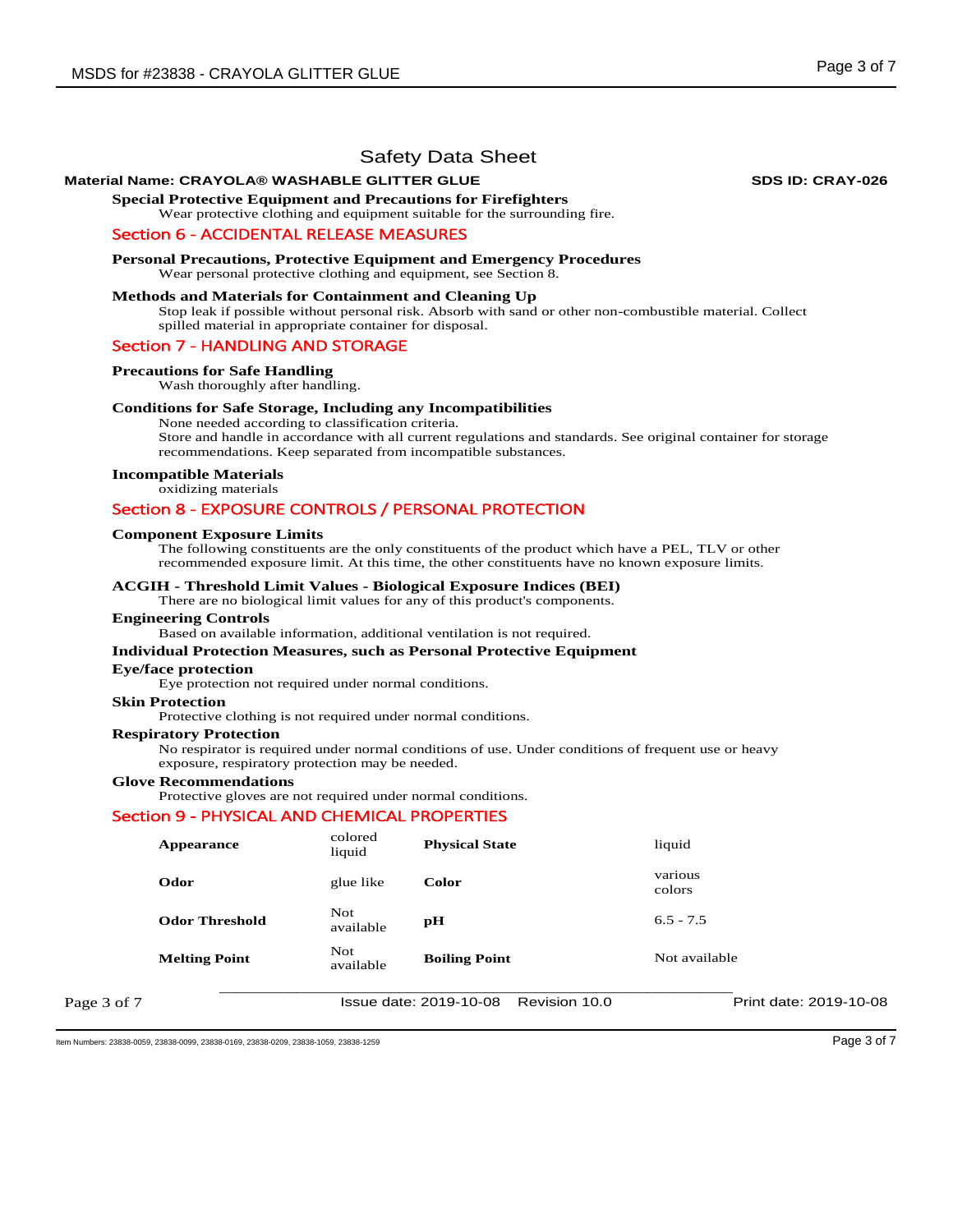## **Material Name: CRAYOLA® WASHABLE GLITTER GLUE SDS ID: CRAY-026**

**Special Protective Equipment and Precautions for Firefighters**  Wear protective clothing and equipment suitable for the surrounding fire.

Wear personal protective clothing and equipment, see Section 8.

## Section 6 - ACCIDENTAL RELEASE MEASURES

**Personal Precautions, Protective Equipment and Emergency Procedures** 

## **Methods and Materials for Containment and Cleaning Up**

Stop leak if possible without personal risk. Absorb with sand or other non-combustible material. Collect spilled material in appropriate container for disposal.

### Section 7 - HANDLING AND STORAGE

## **Precautions for Safe Handling**

Wash thoroughly after handling.

### **Conditions for Safe Storage, Including any Incompatibilities**

None needed according to classification criteria.

Store and handle in accordance with all current regulations and standards. See original container for storage recommendations. Keep separated from incompatible substances.

### **Incompatible Materials**

oxidizing materials

## Section 8 - EXPOSURE CONTROLS / PERSONAL PROTECTION

#### **Component Exposure Limits**

The following constituents are the only constituents of the product which have a PEL, TLV or other recommended exposure limit. At this time, the other constituents have no known exposure limits.

#### **ACGIH - Threshold Limit Values - Biological Exposure Indices (BEI)**

There are no biological limit values for any of this product's components.

#### **Engineering Controls**

Based on available information, additional ventilation is not required.

#### **Individual Protection Measures, such as Personal Protective Equipment**

#### **Eye/face protection**

Eye protection not required under normal conditions.

### **Skin Protection**

Protective clothing is not required under normal conditions.

#### **Respiratory Protection**

No respirator is required under normal conditions of use. Under conditions of frequent use or heavy exposure, respiratory protection may be needed.

#### **Glove Recommendations**

Protective gloves are not required under normal conditions.

#### Section 9 - PHYSICAL AND CHEMICAL PROPERTIES

|             | Appearance            | colored<br>liquid       | <b>Physical State</b>                   | liquid                 |
|-------------|-----------------------|-------------------------|-----------------------------------------|------------------------|
|             | Odor                  | glue like               | Color                                   | various<br>colors      |
|             | <b>Odor Threshold</b> | <b>Not</b><br>available | pН                                      | $6.5 - 7.5$            |
|             | <b>Melting Point</b>  | Not<br>available        | <b>Boiling Point</b>                    | Not available          |
| Page 3 of 7 |                       |                         | Issue date: 2019-10-08<br>Revision 10.0 | Print date: 2019-10-08 |

Item Numbers: 23838-0059, 23838-0099, 23838-0169, 23838-0209, 23838-1059, 23838-1259 Page 3 of 7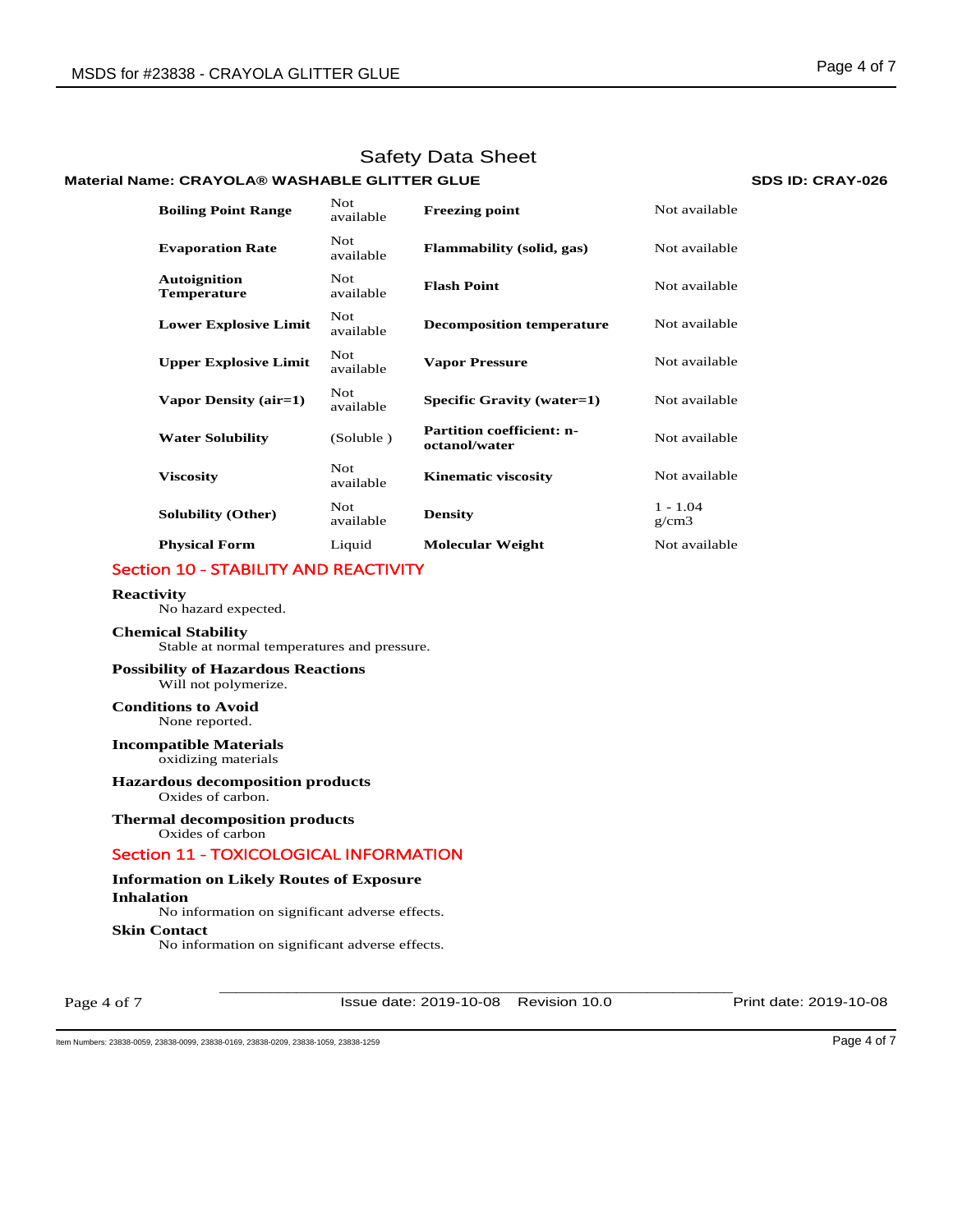# **Material Name: CRAYOLA® WASHABLE GLITTER GLUE SDS ID: CRAY-026**

| <b>Boiling Point Range</b>                | Not.<br>available       | <b>Freezing point</b>                             | Not available       |
|-------------------------------------------|-------------------------|---------------------------------------------------|---------------------|
| <b>Evaporation Rate</b>                   | <b>Not</b><br>available | <b>Flammability</b> (solid, gas)                  | Not available       |
| <b>Autoignition</b><br><b>Temperature</b> | Not.<br>available       | <b>Flash Point</b>                                | Not available       |
| <b>Lower Explosive Limit</b>              | <b>Not</b><br>available | <b>Decomposition temperature</b>                  | Not available       |
| <b>Upper Explosive Limit</b>              | <b>Not</b><br>available | <b>Vapor Pressure</b>                             | Not available       |
| Vapor Density (air=1)                     | <b>Not</b><br>available | Specific Gravity (water=1)                        | Not available       |
| <b>Water Solubility</b>                   | (Soluble)               | <b>Partition coefficient: n-</b><br>octanol/water | Not available       |
| <b>Viscosity</b>                          | Not.<br>available       | <b>Kinematic viscosity</b>                        | Not available       |
| <b>Solubility (Other)</b>                 | Not.<br>available       | <b>Density</b>                                    | $1 - 1.04$<br>g/cm3 |
| <b>Physical Form</b>                      | Liquid                  | <b>Molecular Weight</b>                           | Not available       |

# Section 10 - STABILITY AND REACTIVITY

#### **Reactivity**

No hazard expected.

## **Chemical Stability**

Stable at normal temperatures and pressure.

## **Possibility of Hazardous Reactions** Will not polymerize.

**Conditions to Avoid** None reported.

### **Incompatible Materials** oxidizing materials

**Hazardous decomposition products**  Oxides of carbon.

# **Thermal decomposition products**

Oxides of carbon

# Section 11 - TOXICOLOGICAL INFORMATION

## **Information on Likely Routes of Exposure**

**Inhalation** 

No information on significant adverse effects. **Skin Contact**  No information on significant adverse effects.

Page 4 of 7

\_\_\_\_\_\_\_\_\_\_\_\_\_\_\_\_\_\_\_\_\_\_\_\_\_\_\_\_\_\_\_\_\_\_\_\_\_\_\_\_\_\_\_\_\_\_\_\_\_\_\_\_\_\_\_\_\_\_\_\_ Issue date: 2019-10-08 Revision 10.0 Print date: 2019-10-08

Item Numbers: 23838-0059, 23838-0099, 23838-0169, 23838-0209, 23838-1059, 23838-1259 Page 4 of 7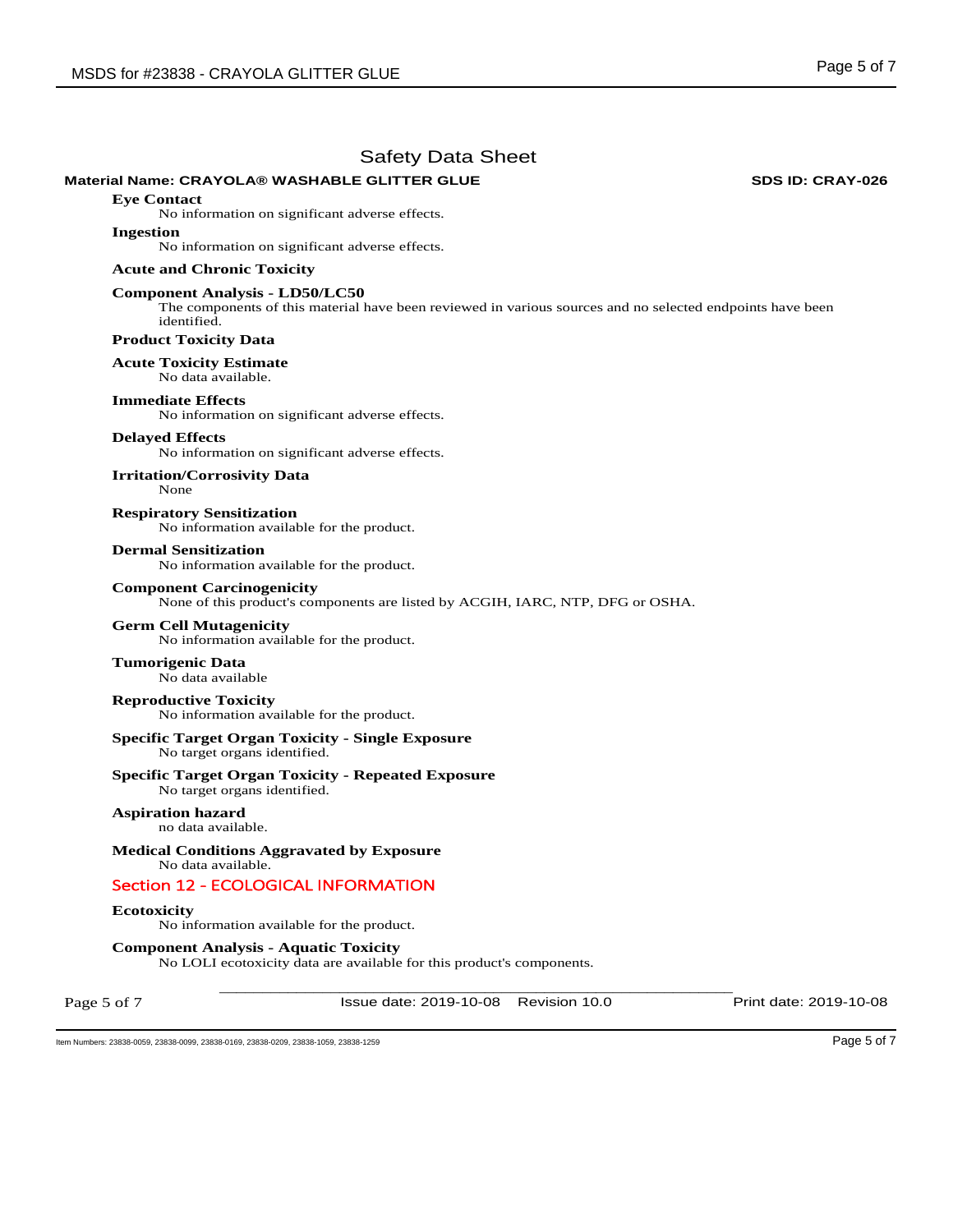## **Material Name: CRAYOLA® WASHABLE GLITTER GLUE SDS ID: CRAY-026**

**Eye Contact** 

No information on significant adverse effects.

#### **Ingestion**

No information on significant adverse effects.

#### **Acute and Chronic Toxicity**

### **Component Analysis - LD50/LC50**

The components of this material have been reviewed in various sources and no selected endpoints have been identified.

## **Product Toxicity Data**

**Acute Toxicity Estimate** 

# No data available.

**Immediate Effects** 

No information on significant adverse effects.

### **Delayed Effects**

No information on significant adverse effects.

**Irritation/Corrosivity Data**  None

**Respiratory Sensitization**  No information available for the product.

#### **Dermal Sensitization**

No information available for the product.

#### **Component Carcinogenicity**

None of this product's components are listed by ACGIH, IARC, NTP, DFG or OSHA.

#### **Germ Cell Mutagenicity**

No information available for the product.

**Tumorigenic Data**  No data available

**Reproductive Toxicity**  No information available for the product.

# **Specific Target Organ Toxicity - Single Exposure**

No target organs identified.

## **Specific Target Organ Toxicity - Repeated Exposure**

No target organs identified.

#### **Aspiration hazard**  no data available.

**Medical Conditions Aggravated by Exposure** No data available.

## Section 12 - ECOLOGICAL INFORMATION

#### **Ecotoxicity**

No information available for the product.

## **Component Analysis - Aquatic Toxicity**

No LOLI ecotoxicity data are available for this product's components.

Page 5 of 7

\_\_\_\_\_\_\_\_\_\_\_\_\_\_\_\_\_\_\_\_\_\_\_\_\_\_\_\_\_\_\_\_\_\_\_\_\_\_\_\_\_\_\_\_\_\_\_\_\_\_\_\_\_\_\_\_\_\_\_\_ Issue date: 2019-10-08 Revision 10.0 Print date: 2019-10-08

Item Numbers: 23838-0059, 23838-0099, 23838-0169, 23838-0209, 23838-1059, 23838-1259 Page 5 of 7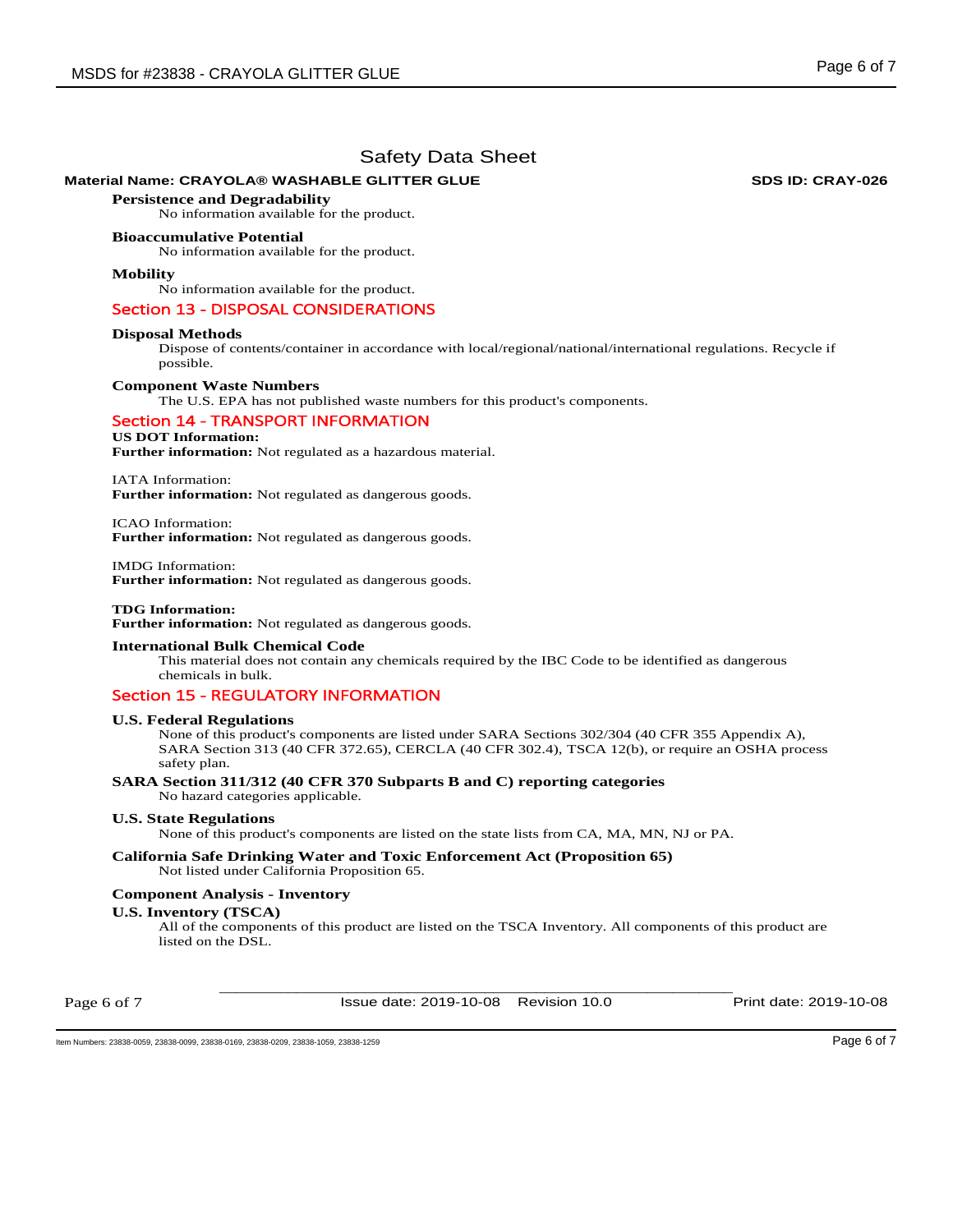# **Material Name: CRAYOLA® WASHABLE GLITTER GLUE SDS ID: CRAY-026**

**Persistence and Degradability**  No information available for the product.

## **Bioaccumulative Potential**

No information available for the product.

## **Mobility**

No information available for the product.

## Section 13 - DISPOSAL CONSIDERATIONS

### **Disposal Methods**

Dispose of contents/container in accordance with local/regional/national/international regulations. Recycle if possible.

#### **Component Waste Numbers**

The U.S. EPA has not published waste numbers for this product's components.

## Section 14 - TRANSPORT INFORMATION

## **US DOT Information:**

**Further information:** Not regulated as a hazardous material.

IATA Information:

**Further information:** Not regulated as dangerous goods.

ICAO Information: **Further information:** Not regulated as dangerous goods.

IMDG Information: **Further information:** Not regulated as dangerous goods.

**TDG Information: Further information:** Not regulated as dangerous goods.

## **International Bulk Chemical Code**

This material does not contain any chemicals required by the IBC Code to be identified as dangerous chemicals in bulk.

## Section 15 - REGULATORY INFORMATION

## **U.S. Federal Regulations**

None of this product's components are listed under SARA Sections 302/304 (40 CFR 355 Appendix A), SARA Section 313 (40 CFR 372.65), CERCLA (40 CFR 302.4), TSCA 12(b), or require an OSHA process safety plan.

#### **SARA Section 311/312 (40 CFR 370 Subparts B and C) reporting categories**  No hazard categories applicable.

**U.S. State Regulations** 

None of this product's components are listed on the state lists from CA, MA, MN, NJ or PA.

#### **California Safe Drinking Water and Toxic Enforcement Act (Proposition 65)**  Not listed under California Proposition 65.

## **Component Analysis - Inventory**

## **U.S. Inventory (TSCA)**

All of the components of this product are listed on the TSCA Inventory. All components of this product are listed on the DSL.

Page 6 of 7

\_\_\_\_\_\_\_\_\_\_\_\_\_\_\_\_\_\_\_\_\_\_\_\_\_\_\_\_\_\_\_\_\_\_\_\_\_\_\_\_\_\_\_\_\_\_\_\_\_\_\_\_\_\_\_\_\_\_\_\_ Issue date: 2019-10-08 Revision 10.0 Print date: 2019-10-08

Item Numbers: 23838-0059, 23838-0099, 23838-0169, 23838-0209, 23838-1059, 23838-1259 Page 6 of 7